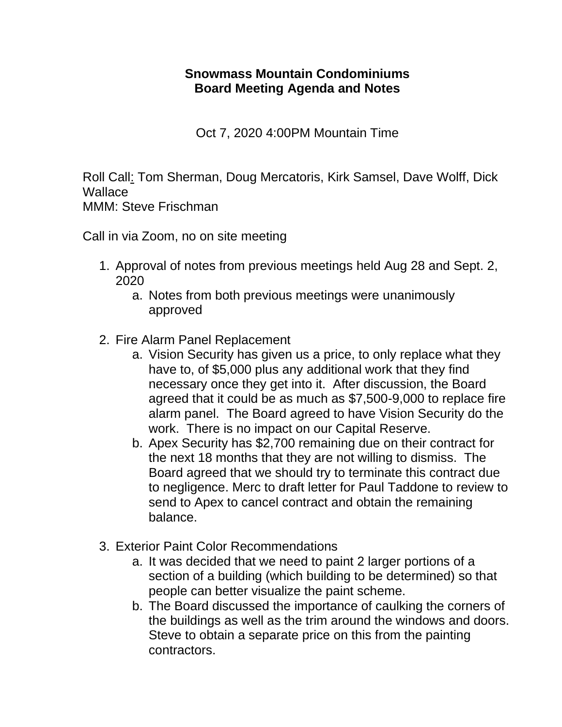## **Snowmass Mountain Condominiums Board Meeting Agenda and Notes**

Oct 7, 2020 4:00PM Mountain Time

Roll Call: Tom Sherman, Doug Mercatoris, Kirk Samsel, Dave Wolff, Dick **Wallace** 

MMM: Steve Frischman

Call in via Zoom, no on site meeting

- 1. Approval of notes from previous meetings held Aug 28 and Sept. 2, 2020
	- a. Notes from both previous meetings were unanimously approved
- 2. Fire Alarm Panel Replacement
	- a. Vision Security has given us a price, to only replace what they have to, of \$5,000 plus any additional work that they find necessary once they get into it. After discussion, the Board agreed that it could be as much as \$7,500-9,000 to replace fire alarm panel. The Board agreed to have Vision Security do the work. There is no impact on our Capital Reserve.
	- b. Apex Security has \$2,700 remaining due on their contract for the next 18 months that they are not willing to dismiss. The Board agreed that we should try to terminate this contract due to negligence. Merc to draft letter for Paul Taddone to review to send to Apex to cancel contract and obtain the remaining balance.
- 3. Exterior Paint Color Recommendations
	- a. It was decided that we need to paint 2 larger portions of a section of a building (which building to be determined) so that people can better visualize the paint scheme.
	- b. The Board discussed the importance of caulking the corners of the buildings as well as the trim around the windows and doors. Steve to obtain a separate price on this from the painting contractors.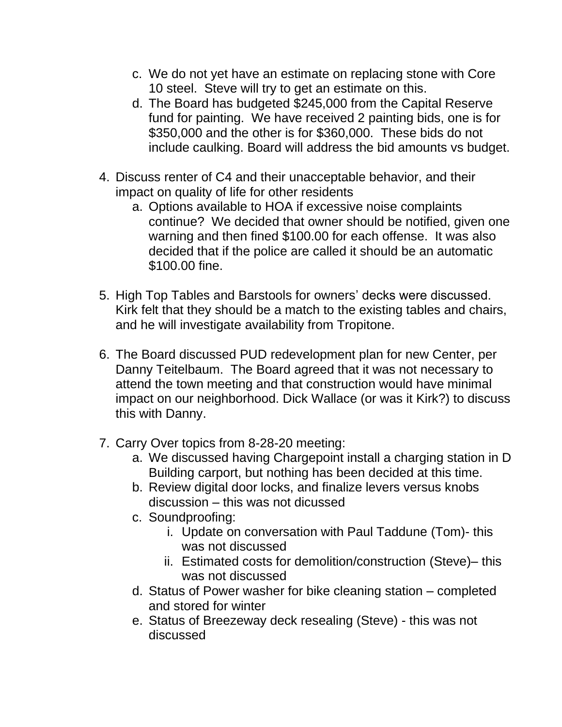- c. We do not yet have an estimate on replacing stone with Core 10 steel. Steve will try to get an estimate on this.
- d. The Board has budgeted \$245,000 from the Capital Reserve fund for painting. We have received 2 painting bids, one is for \$350,000 and the other is for \$360,000. These bids do not include caulking. Board will address the bid amounts vs budget.
- 4. Discuss renter of C4 and their unacceptable behavior, and their impact on quality of life for other residents
	- a. Options available to HOA if excessive noise complaints continue? We decided that owner should be notified, given one warning and then fined \$100.00 for each offense. It was also decided that if the police are called it should be an automatic \$100.00 fine.
- 5. High Top Tables and Barstools for owners' decks were discussed. Kirk felt that they should be a match to the existing tables and chairs, and he will investigate availability from Tropitone.
- 6. The Board discussed PUD redevelopment plan for new Center, per Danny Teitelbaum. The Board agreed that it was not necessary to attend the town meeting and that construction would have minimal impact on our neighborhood. Dick Wallace (or was it Kirk?) to discuss this with Danny.
- 7. Carry Over topics from 8-28-20 meeting:
	- a. We discussed having Chargepoint install a charging station in D Building carport, but nothing has been decided at this time.
	- b. Review digital door locks, and finalize levers versus knobs discussion – this was not dicussed
	- c. Soundproofing:
		- i. Update on conversation with Paul Taddune (Tom)- this was not discussed
		- ii. Estimated costs for demolition/construction (Steve)– this was not discussed
	- d. Status of Power washer for bike cleaning station completed and stored for winter
	- e. Status of Breezeway deck resealing (Steve) this was not discussed